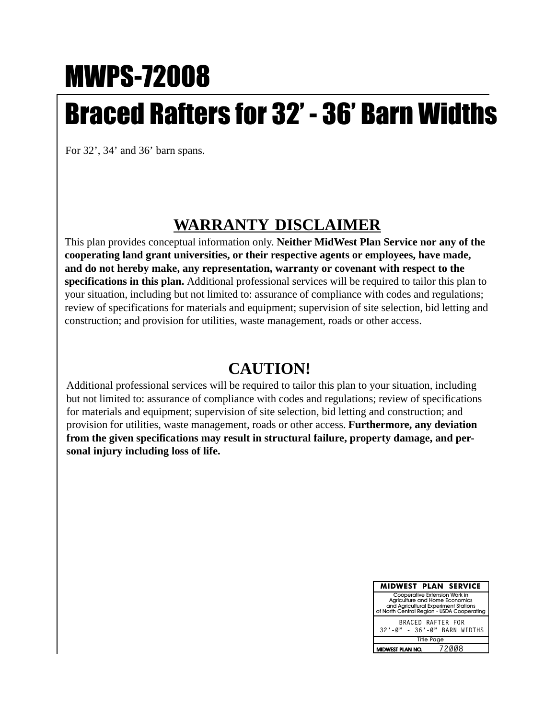## MWPS-72008 Braced Rafters for 32' - 36' Barn Widths

For 32', 34' and 36' barn spans.

## **WARRANTY DISCLAIMER**

This plan provides conceptual information only. **Neither MidWest Plan Service nor any of the cooperating land grant universities, or their respective agents or employees, have made, and do not hereby make, any representation, warranty or covenant with respect to the specifications in this plan.** Additional professional services will be required to tailor this plan to your situation, including but not limited to: assurance of compliance with codes and regulations; review of specifications for materials and equipment; supervision of site selection, bid letting and construction; and provision for utilities, waste management, roads or other access.

## **CAUTION!**

Additional professional services will be required to tailor this plan to your situation, including but not limited to: assurance of compliance with codes and regulations; review of specifications for materials and equipment; supervision of site selection, bid letting and construction; and provision for utilities, waste management, roads or other access. **Furthermore, any deviation from the given specifications may result in structural failure, property damage, and personal injury including loss of life.**

| <b>MIDWEST PLAN SERVICE</b>                                                                                                                           |  |       |
|-------------------------------------------------------------------------------------------------------------------------------------------------------|--|-------|
| Cooperative Extension Work in<br>Agriculture and Home Economics<br>and Agricultural Experiment Stations<br>of North Central Region - USDA Cooperating |  |       |
| BRACED RAFTER FOR<br>32'-0" - 36'-0" BARN WIDTHS                                                                                                      |  |       |
| <b>Title Page</b>                                                                                                                                     |  |       |
| MIDWEST PLAN NO.                                                                                                                                      |  | 72008 |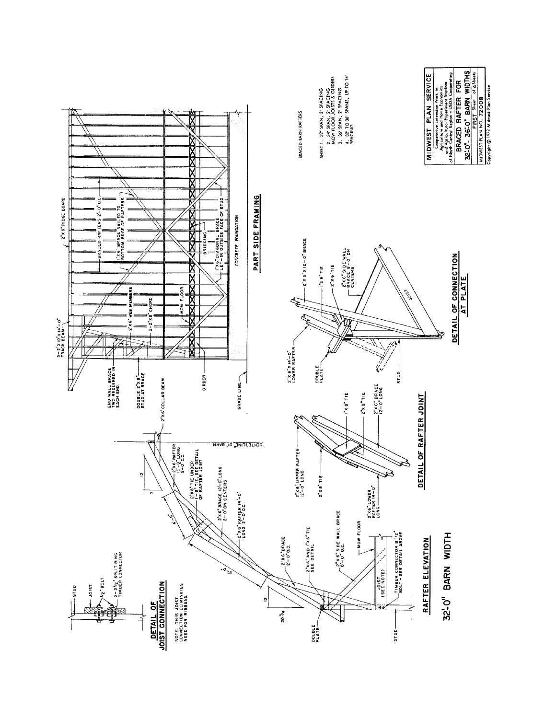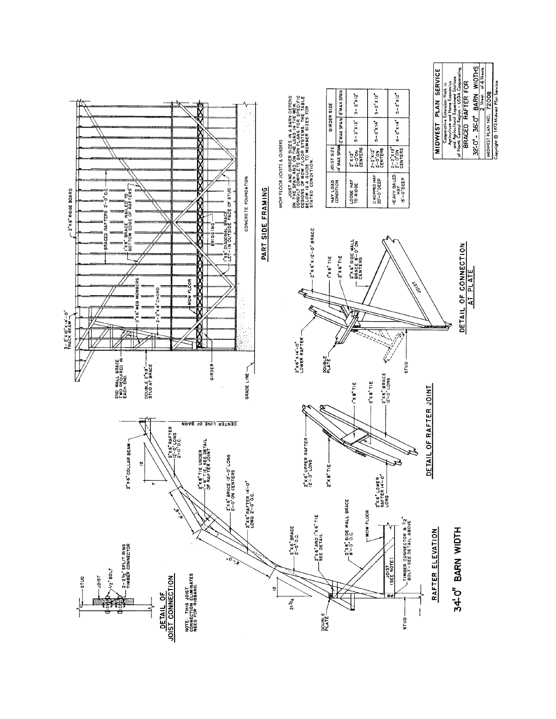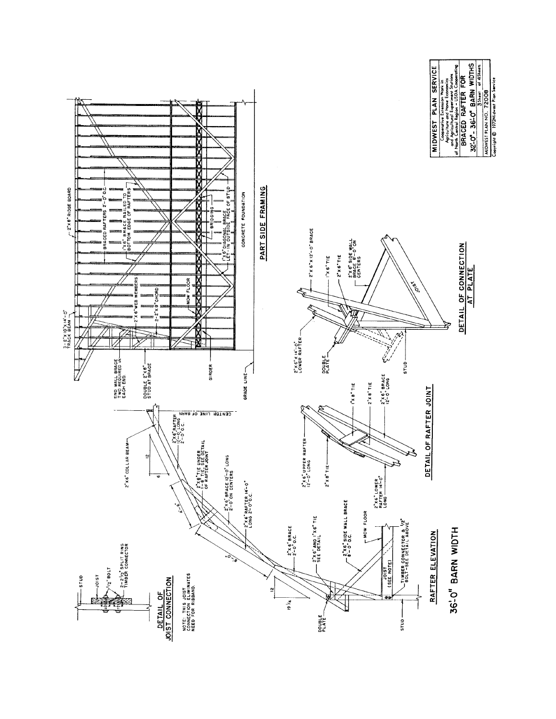